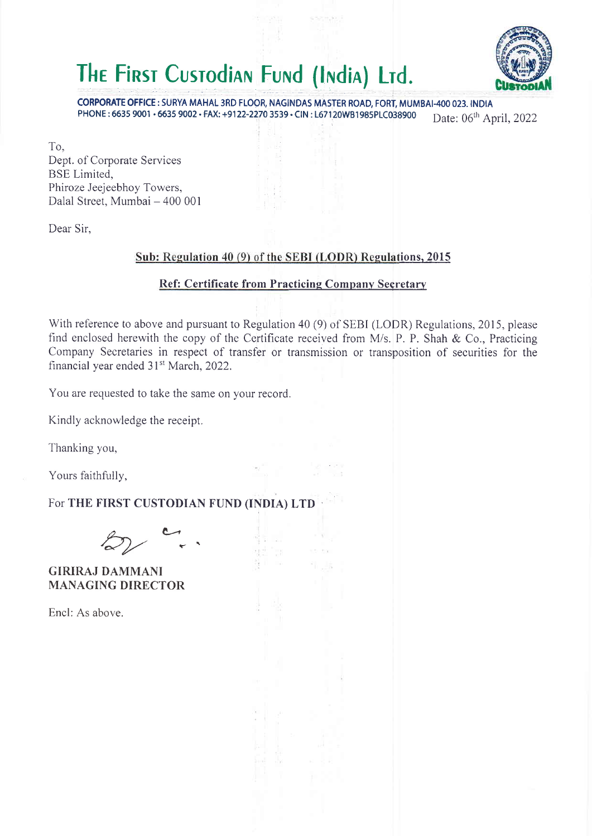## The First Custodian Fund (India) Ltd.



 CORPORATE OFFICE:SURYA MAHAL 3RD FLOOR, NAGINDAS MASTER ROAD, FORT, MUMBAI40O 023. tNDtA CORPORATE OFFICE: SURYA MAHAL 3RD FLOOR,NAGINDAS MASTER ROAD, FORT, MUMBAI-400 023. INDIAPHONE : <sup>6635</sup> <sup>9001</sup> - <sup>6635</sup> <sup>9002</sup> - FAX: +9122-2270 <sup>3539</sup> <sup>+</sup> CIN : L67120WB1985PLC038900 Date: 06" April, <sup>2022</sup> PHONE:6635 9001 · 6635 9002 · FAX: +9122-2270 3539 · CIN:L67120WB1985PLC038900 Date: 06<sup>th</sup> April, 2022

To, To,<br>Dept. of Corporate Services BSE Limited, Phiroze Jeejeebhoy Towers, BSE Limited,Phiroze Jeejeebhoy Towers, Dalal Street, Mumbai - 400 <sup>001</sup> Dalal Street, Mumbai — 400 001

Dear Sir,

# Sub: Regulation 40 (9) of the SEBI (LODR) Regulations, 2015<br>Ref: Certificate from Practicing Company Secretary

#### Ref: Certificate from Practicing Company Seqretary

With reference to above and pursuant to Regulation 40 (9) of SEBI (LODR) Regulations, 2015, please find enclosed herewith the copy of the Certificate received from M/s. P. P. Shah & Co., Practicing find enclosed herewith the copy of the Certificate received from M/s. P. P. Shah & Co., Practicing Company Secretaries in respect of transfer or transmission or transposition of securities for the Company Secretaries in respect of transfer or transmission or transposition of securities for the financial year ended 31st March, 2022.

You are requested to take the same on your record. You are requested to take the same on yourrecord.

Kindly acknowledge the receipt.

Thanking you, Thanking you,

Yours faithfully, Yours faithfully,

For THE FIRST CUSTODIAN FUND (INDIA) LTD

 $2\nu$ 

GIRIRAJ DAMMANI GIRIRAJ DAMMANI MANAGING DIRECTOR MANAGING DIRECTOR

Encl: As above. Encl: As above.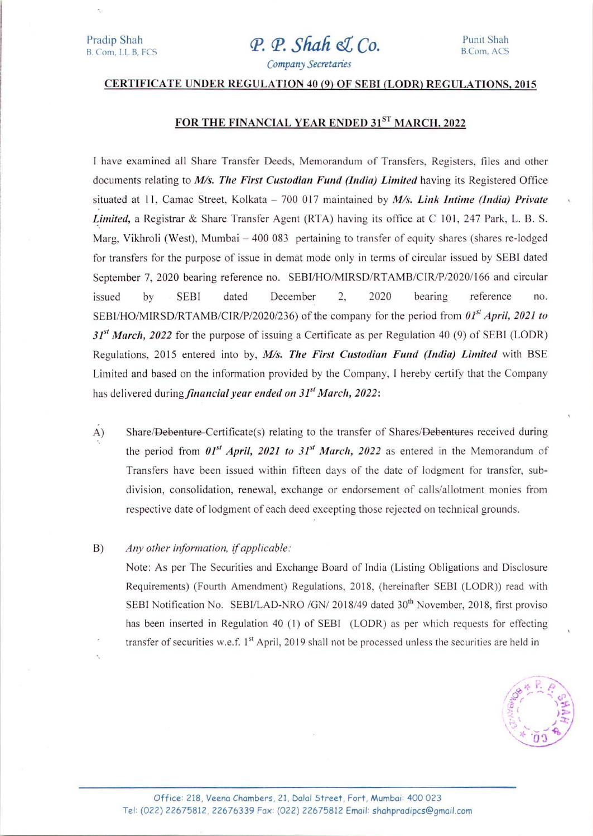### Pradip Shah  $P. P. Shah \ll Co.$  Punit Shah

#### Company Secretaries

#### CERTIFICATE UNDER REGULATION <sup>40</sup> (9) OF SEBI (LODR) REGULATIONS,2015

#### FOR THE FINANCIAL YEAR ENDED 31<sup>ST</sup> MARCH, 2022

<sup>I</sup> have examined all Share Transfer Deeds, Memorandum of Transfers, Registers, files and other documents relating to M/s. The First Custodian Fund (India) Limited having its Registered Office situated at 11, Camac Street, Kolkata  $-700017$  maintained by *M/s. Link Intime (India) Private* Limited, a Registrar & Share Transfer Agent (RTA) having its office at C 101, 247 Park, L. B. S. Marg, Vikhroli (West), Mumbai – 400 083 pertaining to transfer of equity shares (shares re-lodged for transfers for the purpose of issue in demat mode only in terms of circular issued by SEBI dated September 7, 2020 bearing reference no. SEBI/HO/MIRSD/RTAMB/CIR/P/2020/166 and circular issued by SEBI dated December 2, 2020 bearing reference no. SEBI/HO/MIRSD/RTAMB/CIR/P/2020/236) of the company for the period from  $01^{st}$  April, 2021 to  $31<sup>st</sup> March, 2022$  for the purpose of issuing a Certificate as per Regulation 40 (9) of SEBI (LODR) Regulations, 2015 entered into by, M/s. The First Custodian Fund (India) Limited with BSE Limited and based on the information provided by the Company, <sup>I</sup> hereby certify that the Company has delivered during *financial year ended on*  $31<sup>st</sup> March, 2022$ : Paradip Shah<br>
Paradip Shah<br>
Comparison Comparison Contains at the Comparison Comparison Comparison Comparison Comparison Comparison Comparison Comparison Comparison Comparison Comparison Comparison Comparison Comparison C

A) Share/Debenture-Certificate(s) relating to the transfer of Shares/Debentures received during the period from  $\theta I^{st}$  April, 2021 to 31<sup>st</sup> March, 2022 as entered in the Memorandum of Transfers have been issued within fifteen days of the date of lodgment for transfer, subdivision, consolidation, renewal, exchange or endorsement of calls/allotment monies from respective date of lodgment of each deed excepting those rejected on technical grounds.

#### B) Any other information, if applicable:

Note: As per The Securities and Exchange Board of India (Listing Obligations and Disclosure Requirements) (Fourth Amendment) Regulations, 2018, (hereinafter SEB] (LODR)) read with SEBI Notification No. SEBI/LAD-NRO /GN/ 2018/49 dated 30<sup>th</sup> November, 2018, first proviso has been inserted in Regulation 40 (1) of SEBI (LODR) as per which requests for effecting transfer of securities w.e.f.  $1<sup>st</sup>$  April, 2019 shall not be processed unless the securities are held in division, contracts and the expective of the Motel As p<br>
B) Any other is<br>
Note: As p<br>
Requirement<br>
SEBI Notificants are in transfer of s